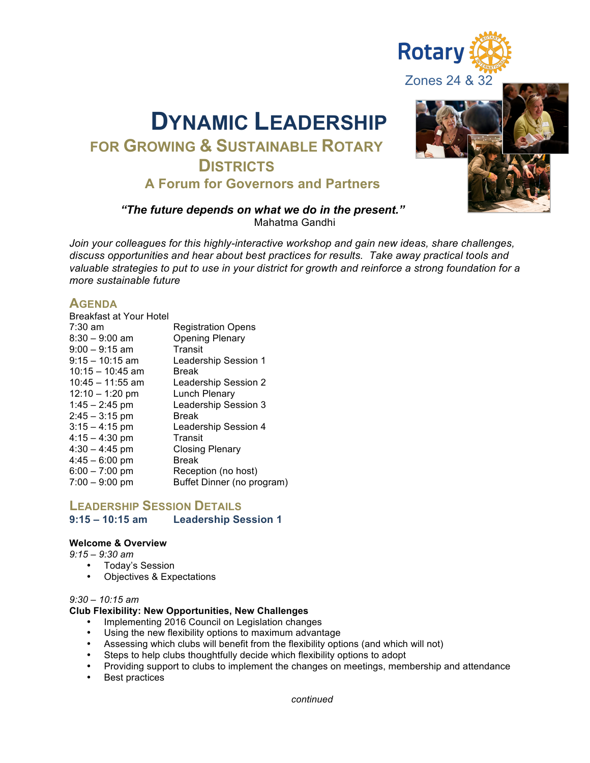

# **FOR GROWING & SUSTAINABLE ROTARY DISTRICTS A Forum for Governors and Partners**

# Zones 24 & 32

**Rotary** 

### *"The future depends on what we do in the present."* Mahatma Gandhi

*Join your colleagues for this highly-interactive workshop and gain new ideas, share challenges, discuss opportunities and hear about best practices for results. Take away practical tools and valuable strategies to put to use in your district for growth and reinforce a strong foundation for a more sustainable future*

## **AGENDA**

| Breakfast at Your Hotel |                            |
|-------------------------|----------------------------|
| $7:30$ am               | <b>Registration Opens</b>  |
| $8:30 - 9:00$ am        | <b>Opening Plenary</b>     |
| $9:00 - 9:15$ am        | Transit                    |
| $9:15 - 10:15$ am       | Leadership Session 1       |
| $10:15 - 10:45$ am      | <b>Break</b>               |
| $10:45 - 11:55$ am      | Leadership Session 2       |
| $12:10 - 1:20$ pm       | Lunch Plenary              |
| $1:45 - 2:45$ pm        | Leadership Session 3       |
| $2:45 - 3:15$ pm        | <b>Break</b>               |
| $3:15 - 4:15$ pm        | Leadership Session 4       |
| $4:15 - 4:30$ pm        | Transit                    |
| $4:30 - 4:45$ pm        | Closing Plenary            |
| $4:45 - 6:00$ pm        | <b>Break</b>               |
| $6:00 - 7:00$ pm        | Reception (no host)        |
| $7:00 - 9:00$ pm        | Buffet Dinner (no program) |

# **LEADERSHIP SESSION DETAILS Leadership Session 1**

### **Welcome & Overview**

### *9:15 – 9:30 am*

- Today's Session
- Objectives & Expectations

### *9:30 – 10:15 am*

### **Club Flexibility: New Opportunities, New Challenges**

- Implementing 2016 Council on Legislation changes
- Using the new flexibility options to maximum advantage
- Assessing which clubs will benefit from the flexibility options (and which will not)
- Steps to help clubs thoughtfully decide which flexibility options to adopt
- Providing support to clubs to implement the changes on meetings, membership and attendance
- Best practices

*continued*